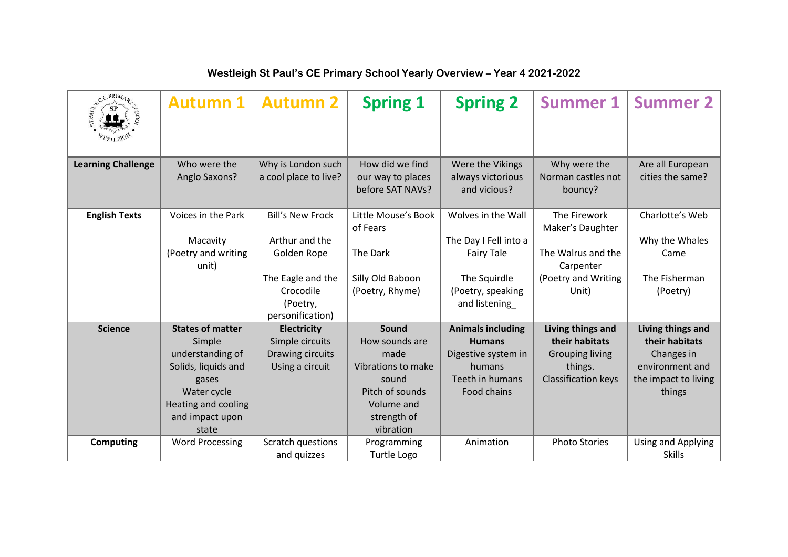| SCE PRIMARE               | <b>Autumn 1</b>              | <b>Autumn 2</b>         | <b>Spring 1</b>                 | <b>Spring 2</b>                    | <b>Summer 1</b>                  | <b>Summer 2</b>           |
|---------------------------|------------------------------|-------------------------|---------------------------------|------------------------------------|----------------------------------|---------------------------|
| <b>Learning Challenge</b> | Who were the                 | Why is London such      | How did we find                 | Were the Vikings                   | Why were the                     | Are all European          |
|                           | Anglo Saxons?                | a cool place to live?   | our way to places               | always victorious                  | Norman castles not               | cities the same?          |
|                           |                              |                         | before SAT NAVs?                | and vicious?                       | bouncy?                          |                           |
| <b>English Texts</b>      | Voices in the Park           | <b>Bill's New Frock</b> | Little Mouse's Book<br>of Fears | Wolves in the Wall                 | The Firework<br>Maker's Daughter | Charlotte's Web           |
|                           | Macavity                     | Arthur and the          |                                 | The Day I Fell into a              |                                  | Why the Whales            |
|                           | (Poetry and writing<br>unit) | Golden Rope             | The Dark                        | <b>Fairy Tale</b>                  | The Walrus and the<br>Carpenter  | Came                      |
|                           |                              | The Eagle and the       | Silly Old Baboon                | The Squirdle                       | (Poetry and Writing              | The Fisherman             |
|                           |                              | Crocodile<br>(Poetry,   | (Poetry, Rhyme)                 | (Poetry, speaking<br>and listening | Unit)                            | (Poetry)                  |
|                           |                              | personification)        |                                 |                                    |                                  |                           |
| <b>Science</b>            | <b>States of matter</b>      | <b>Electricity</b>      | Sound                           | <b>Animals including</b>           | Living things and                | Living things and         |
|                           | Simple                       | Simple circuits         | How sounds are                  | <b>Humans</b>                      | their habitats                   | their habitats            |
|                           | understanding of             | Drawing circuits        | made                            | Digestive system in                | <b>Grouping living</b>           | Changes in                |
|                           | Solids, liquids and          | Using a circuit         | Vibrations to make              | humans                             | things.                          | environment and           |
|                           | gases                        |                         | sound                           | Teeth in humans                    | Classification keys              | the impact to living      |
|                           | Water cycle                  |                         | Pitch of sounds                 | Food chains                        |                                  | things                    |
|                           | Heating and cooling          |                         | Volume and                      |                                    |                                  |                           |
|                           | and impact upon              |                         | strength of                     |                                    |                                  |                           |
|                           | state                        |                         | vibration                       |                                    |                                  |                           |
| Computing                 | <b>Word Processing</b>       | Scratch questions       | Programming                     | Animation                          | <b>Photo Stories</b>             | <b>Using and Applying</b> |
|                           |                              | and quizzes             | Turtle Logo                     |                                    |                                  | <b>Skills</b>             |

## **Westleigh St Paul's CE Primary School Yearly Overview – Year 4 2021-2022**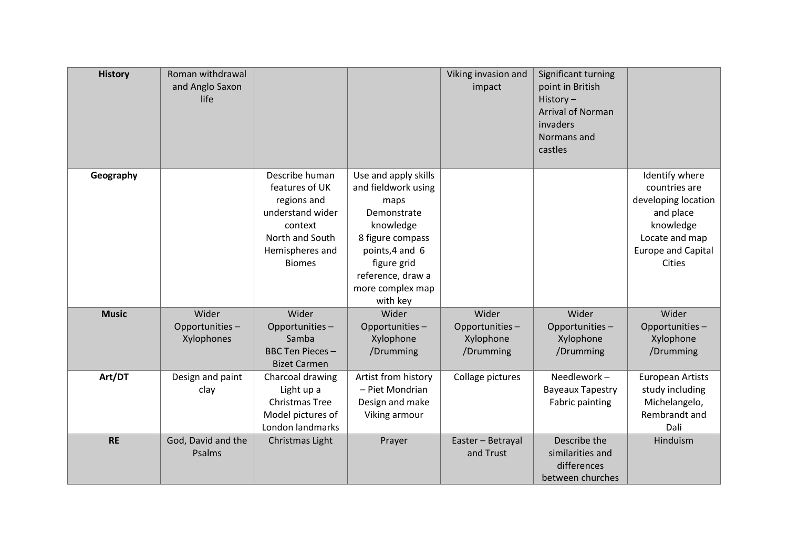| <b>History</b> | Roman withdrawal<br>and Anglo Saxon<br>life |                                                                                                                                       |                                                                                                                                                                                            | Viking invasion and<br>impact                     | Significant turning<br>point in British<br>History $-$<br><b>Arrival of Norman</b><br>invaders<br>Normans and<br>castles |                                                                                                                                                  |
|----------------|---------------------------------------------|---------------------------------------------------------------------------------------------------------------------------------------|--------------------------------------------------------------------------------------------------------------------------------------------------------------------------------------------|---------------------------------------------------|--------------------------------------------------------------------------------------------------------------------------|--------------------------------------------------------------------------------------------------------------------------------------------------|
| Geography      |                                             | Describe human<br>features of UK<br>regions and<br>understand wider<br>context<br>North and South<br>Hemispheres and<br><b>Biomes</b> | Use and apply skills<br>and fieldwork using<br>maps<br>Demonstrate<br>knowledge<br>8 figure compass<br>points, 4 and 6<br>figure grid<br>reference, draw a<br>more complex map<br>with key |                                                   |                                                                                                                          | Identify where<br>countries are<br>developing location<br>and place<br>knowledge<br>Locate and map<br><b>Europe and Capital</b><br><b>Cities</b> |
| <b>Music</b>   | Wider<br>Opportunities-<br>Xylophones       | Wider<br>Opportunities-<br>Samba<br><b>BBC Ten Pieces -</b><br><b>Bizet Carmen</b>                                                    | Wider<br>Opportunities-<br>Xylophone<br>/Drumming                                                                                                                                          | Wider<br>Opportunities-<br>Xylophone<br>/Drumming | Wider<br>Opportunities-<br>Xylophone<br>/Drumming                                                                        | Wider<br>Opportunities-<br>Xylophone<br>/Drumming                                                                                                |
| Art/DT         | Design and paint<br>clay                    | Charcoal drawing<br>Light up a<br><b>Christmas Tree</b><br>Model pictures of<br>London landmarks                                      | Artist from history<br>- Piet Mondrian<br>Design and make<br>Viking armour                                                                                                                 | Collage pictures                                  | Needlework-<br><b>Bayeaux Tapestry</b><br><b>Fabric painting</b>                                                         | <b>European Artists</b><br>study including<br>Michelangelo,<br>Rembrandt and<br>Dali                                                             |
| <b>RE</b>      | God, David and the<br>Psalms                | Christmas Light                                                                                                                       | Prayer                                                                                                                                                                                     | Easter - Betrayal<br>and Trust                    | Describe the<br>similarities and<br>differences<br>between churches                                                      | Hinduism                                                                                                                                         |